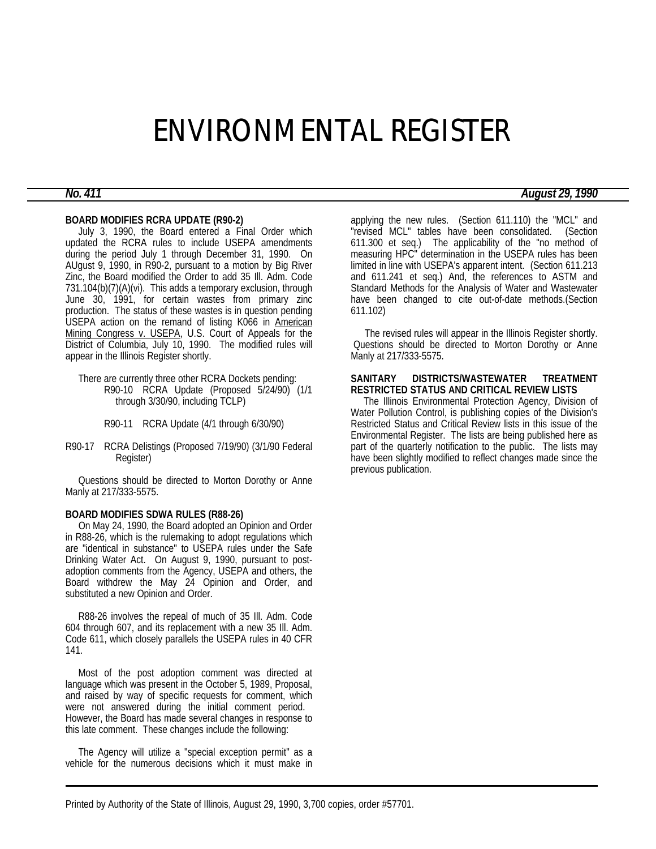# ENVIRONMENTAL REGISTER

#### **BOARD MODIFIES RCRA UPDATE (R90-2)**

 July 3, 1990, the Board entered a Final Order which updated the RCRA rules to include USEPA amendments during the period July 1 through December 31, 1990. On AUgust 9, 1990, in R90-2, pursuant to a motion by Big River Zinc, the Board modified the Order to add 35 Ill. Adm. Code 731.104(b)(7)(A)(vi). This adds a temporary exclusion, through June 30, 1991, for certain wastes from primary zinc production. The status of these wastes is in question pending USEPA action on the remand of listing K066 in American Mining Congress v. USEPA, U.S. Court of Appeals for the District of Columbia, July 10, 1990. The modified rules will appear in the Illinois Register shortly.

 There are currently three other RCRA Dockets pending: R90-10 RCRA Update (Proposed 5/24/90) (1/1 through 3/30/90, including TCLP)

R90-11 RCRA Update (4/1 through 6/30/90)

R90-17 RCRA Delistings (Proposed 7/19/90) (3/1/90 Federal Register)

 Questions should be directed to Morton Dorothy or Anne Manly at 217/333-5575.

#### **BOARD MODIFIES SDWA RULES (R88-26)**

 On May 24, 1990, the Board adopted an Opinion and Order in R88-26, which is the rulemaking to adopt regulations which are "identical in substance" to USEPA rules under the Safe Drinking Water Act. On August 9, 1990, pursuant to postadoption comments from the Agency, USEPA and others, the Board withdrew the May 24 Opinion and Order, and substituted a new Opinion and Order.

 R88-26 involves the repeal of much of 35 Ill. Adm. Code 604 through 607, and its replacement with a new 35 Ill. Adm. Code 611, which closely parallels the USEPA rules in 40 CFR 141.

 Most of the post adoption comment was directed at language which was present in the October 5, 1989, Proposal, and raised by way of specific requests for comment, which were not answered during the initial comment period. However, the Board has made several changes in response to this late comment. These changes include the following:

 The Agency will utilize a "special exception permit" as a vehicle for the numerous decisions which it must make in

applying the new rules. (Section 611.110) the "MCL" and "revised MCL" tables have been consolidated. (Section 611.300 et seq.) The applicability of the "no method of measuring HPC" determination in the USEPA rules has been limited in line with USEPA's apparent intent. (Section 611.213 and 611.241 et seq.) And, the references to ASTM and Standard Methods for the Analysis of Water and Wastewater have been changed to cite out-of-date methods.(Section 611.102)

 The revised rules will appear in the Illinois Register shortly. Questions should be directed to Morton Dorothy or Anne Manly at 217/333-5575.

#### **SANITARY DISTRICTS/WASTEWATER TREATMENT RESTRICTED STATUS AND CRITICAL REVIEW LISTS**

 The Illinois Environmental Protection Agency, Division of Water Pollution Control, is publishing copies of the Division's Restricted Status and Critical Review lists in this issue of the Environmental Register. The lists are being published here as part of the quarterly notification to the public. The lists may have been slightly modified to reflect changes made since the previous publication.

## *No. 411 August 29, 1990*

Printed by Authority of the State of Illinois, August 29, 1990, 3,700 copies, order #57701.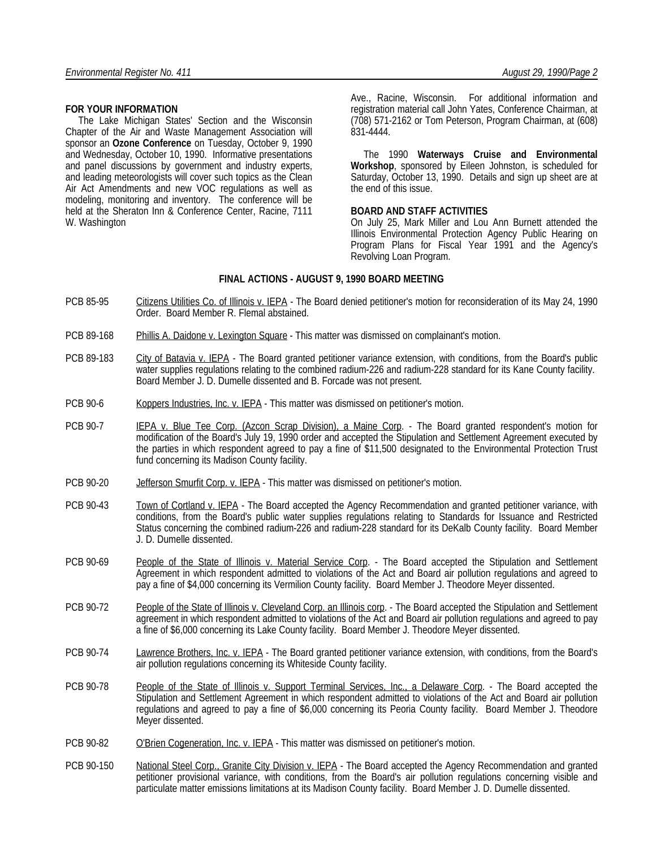#### **FOR YOUR INFORMATION**

 The Lake Michigan States' Section and the Wisconsin Chapter of the Air and Waste Management Association will sponsor an **Ozone Conference** on Tuesday, October 9, 1990 and Wednesday, October 10, 1990. Informative presentations and panel discussions by government and industry experts, and leading meteorologists will cover such topics as the Clean Air Act Amendments and new VOC regulations as well as modeling, monitoring and inventory. The conference will be held at the Sheraton Inn & Conference Center, Racine, 7111 W. Washington

Ave., Racine, Wisconsin. For additional information and registration material call John Yates, Conference Chairman, at (708) 571-2162 or Tom Peterson, Program Chairman, at (608) 831-4444.

 The 1990 **Waterways Cruise and Environmental Workshop**, sponsored by Eileen Johnston, is scheduled for Saturday, October 13, 1990. Details and sign up sheet are at the end of this issue.

#### **BOARD AND STAFF ACTIVITIES**

On July 25, Mark Miller and Lou Ann Burnett attended the Illinois Environmental Protection Agency Public Hearing on Program Plans for Fiscal Year 1991 and the Agency's Revolving Loan Program.

#### **FINAL ACTIONS - AUGUST 9, 1990 BOARD MEETING**

- PCB 85-95 Citizens Utilities Co. of Illinois v. IEPA The Board denied petitioner's motion for reconsideration of its May 24, 1990 Order. Board Member R. Flemal abstained.
- PCB 89-168 Phillis A. Daidone v. Lexington Square This matter was dismissed on complainant's motion.
- PCB 89-183 City of Batavia v. IEPA The Board granted petitioner variance extension, with conditions, from the Board's public water supplies regulations relating to the combined radium-226 and radium-228 standard for its Kane County facility. Board Member J. D. Dumelle dissented and B. Forcade was not present.
- PCB 90-6 Koppers Industries, Inc. v. IEPA This matter was dismissed on petitioner's motion.
- PCB 90-7 IEPA v. Blue Tee Corp. (Azcon Scrap Division), a Maine Corp. The Board granted respondent's motion for modification of the Board's July 19, 1990 order and accepted the Stipulation and Settlement Agreement executed by the parties in which respondent agreed to pay a fine of \$11,500 designated to the Environmental Protection Trust fund concerning its Madison County facility.
- PCB 90-20 Jefferson Smurfit Corp. v. IEPA This matter was dismissed on petitioner's motion.
- PCB 90-43 Town of Cortland v. IEPA The Board accepted the Agency Recommendation and granted petitioner variance, with conditions, from the Board's public water supplies regulations relating to Standards for Issuance and Restricted Status concerning the combined radium-226 and radium-228 standard for its DeKalb County facility. Board Member J. D. Dumelle dissented.
- PCB 90-69 People of the State of Illinois v. Material Service Corp. The Board accepted the Stipulation and Settlement Agreement in which respondent admitted to violations of the Act and Board air pollution regulations and agreed to pay a fine of \$4,000 concerning its Vermilion County facility. Board Member J. Theodore Meyer dissented.
- PCB 90-72 People of the State of Illinois v. Cleveland Corp. an Illinois corp. The Board accepted the Stipulation and Settlement agreement in which respondent admitted to violations of the Act and Board air pollution regulations and agreed to pay a fine of \$6,000 concerning its Lake County facility. Board Member J. Theodore Meyer dissented.
- PCB 90-74 Lawrence Brothers, Inc. v. IEPA The Board granted petitioner variance extension, with conditions, from the Board's air pollution regulations concerning its Whiteside County facility.
- PCB 90-78 People of the State of Illinois v. Support Terminal Services, Inc., a Delaware Corp. The Board accepted the Stipulation and Settlement Agreement in which respondent admitted to violations of the Act and Board air pollution regulations and agreed to pay a fine of \$6,000 concerning its Peoria County facility. Board Member J. Theodore Meyer dissented.
- PCB 90-82 O'Brien Cogeneration, Inc. v. IEPA This matter was dismissed on petitioner's motion.
- PCB 90-150 National Steel Corp., Granite City Division v. IEPA The Board accepted the Agency Recommendation and granted petitioner provisional variance, with conditions, from the Board's air pollution regulations concerning visible and particulate matter emissions limitations at its Madison County facility. Board Member J. D. Dumelle dissented.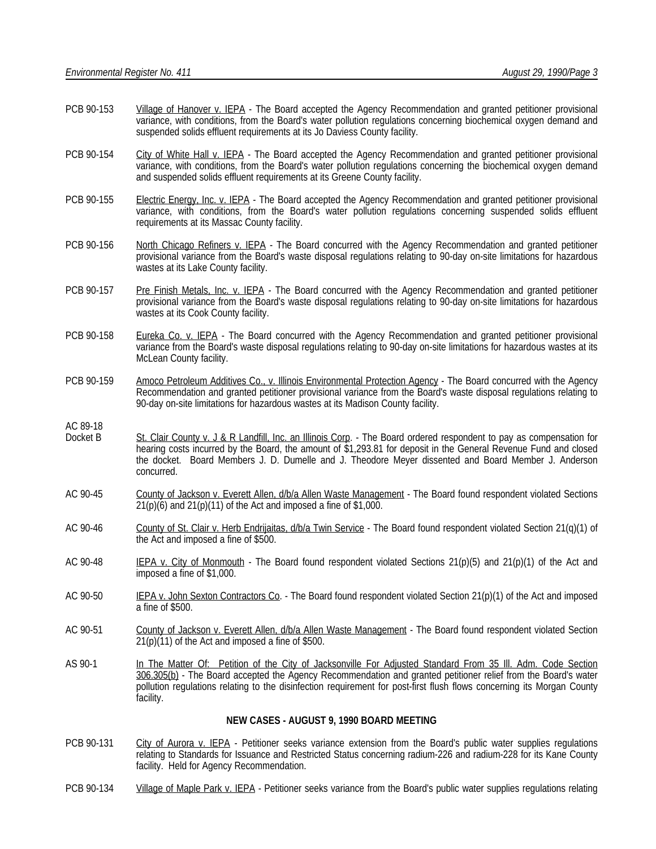- PCB 90-153 Village of Hanover v. IEPA The Board accepted the Agency Recommendation and granted petitioner provisional variance, with conditions, from the Board's water pollution regulations concerning biochemical oxygen demand and suspended solids effluent requirements at its Jo Daviess County facility.
- PCB 90-154 City of White Hall v. IEPA The Board accepted the Agency Recommendation and granted petitioner provisional variance, with conditions, from the Board's water pollution regulations concerning the biochemical oxygen demand and suspended solids effluent requirements at its Greene County facility.
- PCB 90-155 Electric Energy, Inc. v. IEPA The Board accepted the Agency Recommendation and granted petitioner provisional variance, with conditions, from the Board's water pollution regulations concerning suspended solids effluent requirements at its Massac County facility.
- PCB 90-156 North Chicago Refiners v. IEPA The Board concurred with the Agency Recommendation and granted petitioner provisional variance from the Board's waste disposal regulations relating to 90-day on-site limitations for hazardous wastes at its Lake County facility.
- PCB 90-157 Pre Finish Metals, Inc. v. IEPA The Board concurred with the Agency Recommendation and granted petitioner provisional variance from the Board's waste disposal regulations relating to 90-day on-site limitations for hazardous wastes at its Cook County facility.
- PCB 90-158 Eureka Co. v. IEPA The Board concurred with the Agency Recommendation and granted petitioner provisional variance from the Board's waste disposal regulations relating to 90-day on-site limitations for hazardous wastes at its McLean County facility.
- PCB 90-159 Amoco Petroleum Additives Co., v. Illinois Environmental Protection Agency The Board concurred with the Agency Recommendation and granted petitioner provisional variance from the Board's waste disposal regulations relating to 90-day on-site limitations for hazardous wastes at its Madison County facility.
- AC 89-18<br>Docket B
- St. Clair County v. J & R Landfill, Inc. an Illinois Corp. The Board ordered respondent to pay as compensation for hearing costs incurred by the Board, the amount of \$1,293.81 for deposit in the General Revenue Fund and closed the docket. Board Members J. D. Dumelle and J. Theodore Meyer dissented and Board Member J. Anderson concurred.
- AC 90-45 County of Jackson v. Everett Allen, d/b/a Allen Waste Management The Board found respondent violated Sections  $21(p)(6)$  and  $21(p)(11)$  of the Act and imposed a fine of \$1,000.
- AC 90-46 County of St. Clair v. Herb Endrijaitas, d/b/a Twin Service The Board found respondent violated Section 21(q)(1) of the Act and imposed a fine of \$500.
- AC 90-48 IEPA v. City of Monmouth The Board found respondent violated Sections 21(p)(5) and 21(p)(1) of the Act and imposed a fine of \$1,000.
- AC 90-50 IEPA v. John Sexton Contractors Co. The Board found respondent violated Section 21(p)(1) of the Act and imposed a fine of \$500.
- AC 90-51 County of Jackson v. Everett Allen, d/b/a Allen Waste Management The Board found respondent violated Section  $21(p)(11)$  of the Act and imposed a fine of \$500.
- AS 90-1 In The Matter Of: Petition of the City of Jacksonville For Adjusted Standard From 35 Ill. Adm. Code Section 306.305(b) - The Board accepted the Agency Recommendation and granted petitioner relief from the Board's water pollution regulations relating to the disinfection requirement for post-first flush flows concerning its Morgan County facility.

### **NEW CASES - AUGUST 9, 1990 BOARD MEETING**

- PCB 90-131 City of Aurora v. IEPA Petitioner seeks variance extension from the Board's public water supplies regulations relating to Standards for Issuance and Restricted Status concerning radium-226 and radium-228 for its Kane County facility. Held for Agency Recommendation.
- PCB 90-134 Village of Maple Park v. IEPA Petitioner seeks variance from the Board's public water supplies regulations relating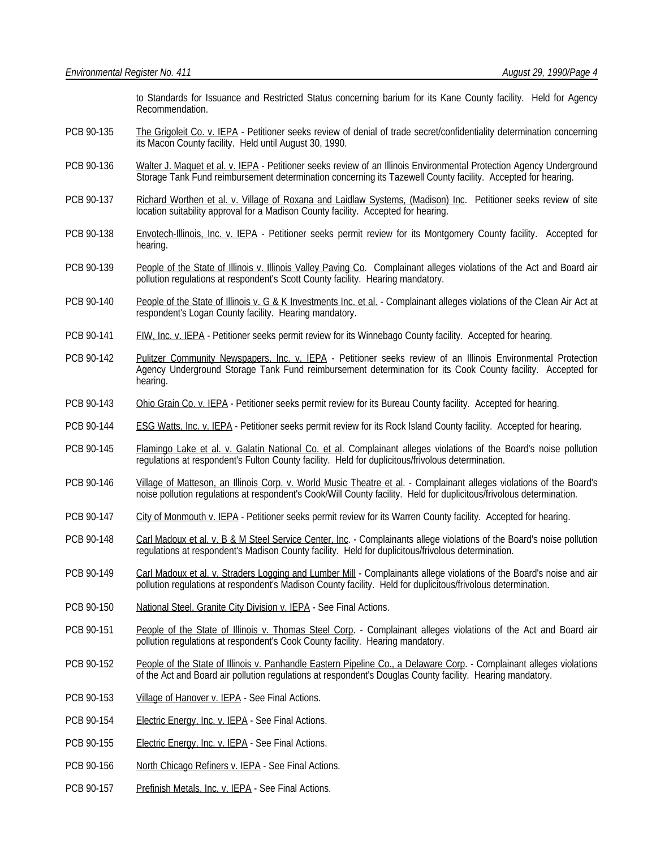to Standards for Issuance and Restricted Status concerning barium for its Kane County facility. Held for Agency Recommendation.

- PCB 90-135 The Grigoleit Co. v. IEPA Petitioner seeks review of denial of trade secret/confidentiality determination concerning its Macon County facility. Held until August 30, 1990.
- PCB 90-136 Walter J. Maquet et al. v. IEPA Petitioner seeks review of an Illinois Environmental Protection Agency Underground Storage Tank Fund reimbursement determination concerning its Tazewell County facility. Accepted for hearing.
- PCB 90-137 Richard Worthen et al. v. Village of Roxana and Laidlaw Systems, (Madison) Inc. Petitioner seeks review of site location suitability approval for a Madison County facility. Accepted for hearing.
- PCB 90-138 Envotech-Illinois, Inc. v. IEPA Petitioner seeks permit review for its Montgomery County facility. Accepted for hearing.
- PCB 90-139 People of the State of Illinois v. Illinois Valley Paving Co. Complainant alleges violations of the Act and Board air pollution regulations at respondent's Scott County facility. Hearing mandatory.
- PCB 90-140 People of the State of Illinois v. G & K Investments Inc. et al. Complainant alleges violations of the Clean Air Act at respondent's Logan County facility. Hearing mandatory.
- PCB 90-141 FIW, Inc. v. IEPA Petitioner seeks permit review for its Winnebago County facility. Accepted for hearing.
- PCB 90-142 Pulitzer Community Newspapers, Inc. v. IEPA Petitioner seeks review of an Illinois Environmental Protection Agency Underground Storage Tank Fund reimbursement determination for its Cook County facility. Accepted for hearing.
- PCB 90-143 Ohio Grain Co. v. IEPA Petitioner seeks permit review for its Bureau County facility. Accepted for hearing.
- PCB 90-144 ESG Watts, Inc. v. IEPA Petitioner seeks permit review for its Rock Island County facility. Accepted for hearing.
- PCB 90-145 Flamingo Lake et al. v. Galatin National Co. et al. Complainant alleges violations of the Board's noise pollution regulations at respondent's Fulton County facility. Held for duplicitous/frivolous determination.
- PCB 90-146 Village of Matteson, an Illinois Corp. v. World Music Theatre et al. Complainant alleges violations of the Board's noise pollution regulations at respondent's Cook/Will County facility. Held for duplicitous/frivolous determination.
- PCB 90-147 City of Monmouth v. IEPA Petitioner seeks permit review for its Warren County facility. Accepted for hearing.
- PCB 90-148 Carl Madoux et al. v. B & M Steel Service Center, Inc. Complainants allege violations of the Board's noise pollution regulations at respondent's Madison County facility. Held for duplicitous/frivolous determination.
- PCB 90-149 Carl Madoux et al. v. Straders Logging and Lumber Mill Complainants allege violations of the Board's noise and air pollution regulations at respondent's Madison County facility. Held for duplicitous/frivolous determination.
- PCB 90-150 National Steel, Granite City Division v. IEPA See Final Actions.
- PCB 90-151 People of the State of Illinois v. Thomas Steel Corp. Complainant alleges violations of the Act and Board air pollution regulations at respondent's Cook County facility. Hearing mandatory.
- PCB 90-152 People of the State of Illinois v. Panhandle Eastern Pipeline Co., a Delaware Corp. Complainant alleges violations of the Act and Board air pollution regulations at respondent's Douglas County facility. Hearing mandatory.
- PCB 90-153 Village of Hanover v. IEPA See Final Actions.
- PCB 90-154 Electric Energy, Inc. v. IEPA See Final Actions.
- PCB 90-155 Electric Energy, Inc. v. IEPA See Final Actions.
- PCB 90-156 North Chicago Refiners v. IEPA See Final Actions.
- PCB 90-157 Prefinish Metals, Inc. v. IEPA See Final Actions.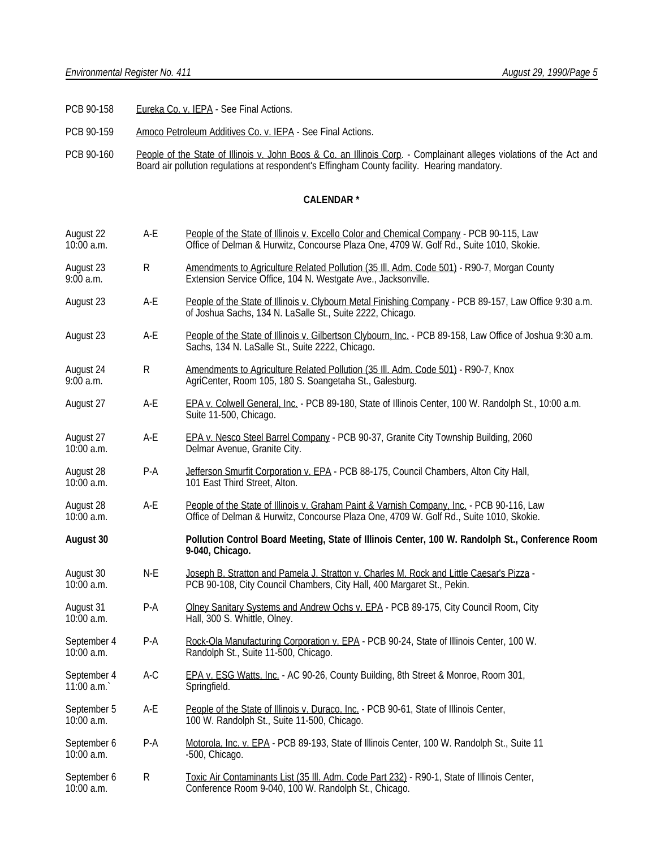- PCB 90-158 Eureka Co. v. IEPA See Final Actions.
- PCB 90-159 Amoco Petroleum Additives Co. v. IEPA See Final Actions.
- PCB 90-160 People of the State of Illinois v. John Boos & Co. an Illinois Corp. Complainant alleges violations of the Act and Board air pollution regulations at respondent's Effingham County facility. Hearing mandatory.

#### **CALENDAR \***

| August 22<br>10:00 a.m.     | A-E          | People of the State of Illinois v. Excello Color and Chemical Company - PCB 90-115, Law<br>Office of Delman & Hurwitz, Concourse Plaza One, 4709 W. Golf Rd., Suite 1010, Skokie.   |  |  |
|-----------------------------|--------------|-------------------------------------------------------------------------------------------------------------------------------------------------------------------------------------|--|--|
| August 23<br>$9:00$ a.m.    | R            | Amendments to Agriculture Related Pollution (35 III. Adm. Code 501) - R90-7, Morgan County<br>Extension Service Office, 104 N. Westgate Ave., Jacksonville.                         |  |  |
| August 23                   | A-E          | People of the State of Illinois v. Clybourn Metal Finishing Company - PCB 89-157, Law Office 9:30 a.m.<br>of Joshua Sachs, 134 N. LaSalle Št., Suite 2222, Chicago.                 |  |  |
| August 23                   | A-E          | People of the State of Illinois v. Gilbertson Clybourn, Inc. - PCB 89-158, Law Office of Joshua 9:30 a.m.<br>Sachs, 134 N. LaSalle St., Suite 2222, Chicago.                        |  |  |
| August 24<br>9:00 a.m.      | $\mathsf{R}$ | Amendments to Agriculture Related Pollution (35 III. Adm. Code 501) - R90-7, Knox<br>AgriCenter, Room 105, 180 S. Soangetaha St., Galesburg.                                        |  |  |
| August 27                   | A-E          | EPA v. Colwell General, Inc. - PCB 89-180, State of Illinois Center, 100 W. Randolph St., 10:00 a.m.<br>Suite 11-500, Chicago.                                                      |  |  |
| August 27<br>10:00 a.m.     | A-E          | <b>EPA v. Nesco Steel Barrel Company - PCB 90-37, Granite City Township Building, 2060</b><br>Delmar Avenue, Granite City.                                                          |  |  |
| August 28<br>10:00 a.m.     | $P-A$        | Jefferson Smurfit Corporation v. EPA - PCB 88-175, Council Chambers, Alton City Hall,<br>101 East Third Street, Alton.                                                              |  |  |
| August 28<br>10:00 a.m.     | A-E          | People of the State of Illinois v. Graham Paint & Varnish Company, Inc. - PCB 90-116, Law<br>Office of Delman & Hurwitz, Concourse Plaza One, 4709 W. Golf Rd., Suite 1010, Skokie. |  |  |
| August 30                   |              | Pollution Control Board Meeting, State of Illinois Center, 100 W. Randolph St., Conference Room<br>9-040, Chicago.                                                                  |  |  |
| August 30<br>10:00 a.m.     | $N-E$        | Joseph B. Stratton and Pamela J. Stratton v. Charles M. Rock and Little Caesar's Pizza -<br>PCB 90-108, City Council Chambers, City Hall, 400 Margaret St., Pekin.                  |  |  |
| August 31<br>10:00 a.m.     | $P-A$        | Olney Sanitary Systems and Andrew Ochs v. EPA - PCB 89-175, City Council Room, City<br>Hall, 300 S. Whittle, Olney.                                                                 |  |  |
| September 4<br>$10:00$ a.m. | $P-A$        | Rock-Ola Manufacturing Corporation v. EPA - PCB 90-24, State of Illinois Center, 100 W.<br>Randolph St., Suite 11-500, Chicago.                                                     |  |  |
| September 4<br>11:00 a.m.   | $A-C$        | EPA v. ESG Watts, Inc. - AC 90-26, County Building, 8th Street & Monroe, Room 301,<br>Springfield.                                                                                  |  |  |
| September 5<br>$10:00$ a.m. | A-E          | People of the State of Illinois v. Duraco, Inc. - PCB 90-61, State of Illinois Center,<br>100 W. Randolph St., Suite 11-500, Chicago.                                               |  |  |
| September 6<br>10:00 a.m.   | P-A          | Motorola, Inc. v. EPA - PCB 89-193, State of Illinois Center, 100 W. Randolph St., Suite 11<br>-500, Chicago.                                                                       |  |  |
| September 6<br>10:00 a.m.   | $\mathsf{R}$ | Toxic Air Contaminants List (35 III. Adm. Code Part 232) - R90-1, State of Illinois Center,<br>Conference Room 9-040, 100 W. Randolph St., Chicago.                                 |  |  |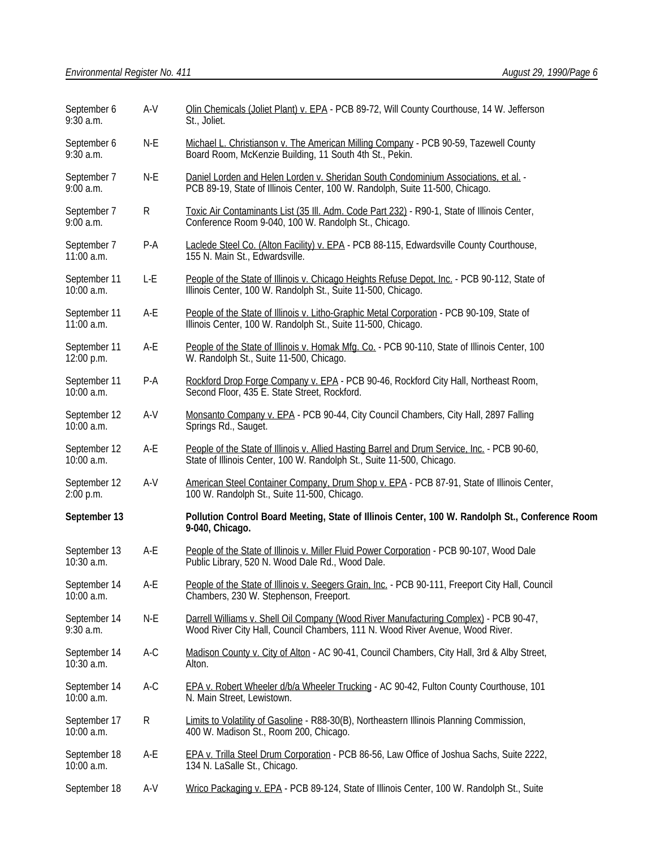| September 6<br>$9:30$ a.m.   | A-V   | Olin Chemicals (Joliet Plant) v. EPA - PCB 89-72, Will County Courthouse, 14 W. Jefferson<br>St., Joliet.                                                              |  |  |  |
|------------------------------|-------|------------------------------------------------------------------------------------------------------------------------------------------------------------------------|--|--|--|
| September 6<br>$9:30$ a.m.   | $N-E$ | Michael L. Christianson v. The American Milling Company - PCB 90-59, Tazewell County<br>Board Room, McKenzie Building, 11 South 4th St., Pekin.                        |  |  |  |
| September 7<br>$9:00$ a.m.   | $N-E$ | Daniel Lorden and Helen Lorden v. Sheridan South Condominium Associations, et al. -<br>PCB 89-19, State of Illinois Center, 100 W. Randolph, Suite 11-500, Chicago.    |  |  |  |
| September 7<br>9:00 a.m.     | R     | Toxic Air Contaminants List (35 III. Adm. Code Part 232) - R90-1, State of Illinois Center,<br>Conference Room 9-040, 100 W. Randolph St., Chicago.                    |  |  |  |
| September 7<br>$11:00$ a.m.  | P-A   | Laclede Steel Co. (Alton Facility) v. EPA - PCB 88-115, Edwardsville County Courthouse,<br>155 N. Main St., Edwardsville.                                              |  |  |  |
| September 11<br>10:00 a.m.   | L-E   | People of the State of Illinois v. Chicago Heights Refuse Depot, Inc. - PCB 90-112, State of<br>Illinois Center, 100 W. Randolph St., Suite 11-500, Chicago.           |  |  |  |
| September 11<br>$11:00$ a.m. | A-E   | People of the State of Illinois v. Litho-Graphic Metal Corporation - PCB 90-109, State of<br>Illinois Center, 100 W. Randolph St., Suite 11-500, Chicago.              |  |  |  |
| September 11<br>12:00 p.m.   | A-E   | People of the State of Illinois v. Homak Mfg. Co. - PCB 90-110, State of Illinois Center, 100<br>W. Randolph St., Suite 11-500, Chicago.                               |  |  |  |
| September 11<br>10:00 a.m.   | $P-A$ | Rockford Drop Forge Company v. EPA - PCB 90-46, Rockford City Hall, Northeast Room,<br>Second Floor, 435 E. State Street, Rockford.                                    |  |  |  |
| September 12<br>10:00 a.m.   | A-V   | Monsanto Company v. EPA - PCB 90-44, City Council Chambers, City Hall, 2897 Falling<br>Springs Rd., Sauget.                                                            |  |  |  |
| September 12<br>10:00 a.m.   | A-E   | People of the State of Illinois v. Allied Hasting Barrel and Drum Service, Inc. - PCB 90-60,<br>State of Illinois Center, 100 W. Randolph St., Suite 11-500, Chicago.  |  |  |  |
| September 12<br>2:00 p.m.    | A-V   | American Steel Container Company, Drum Shop v. EPA - PCB 87-91, State of Illinois Center,<br>100 W. Randolph St., Suite 11-500, Chicago.                               |  |  |  |
| September 13                 |       | Pollution Control Board Meeting, State of Illinois Center, 100 W. Randolph St., Conference Room<br>9-040, Chicago.                                                     |  |  |  |
| September 13<br>10:30 a.m.   | A-E   | People of the State of Illinois v. Miller Fluid Power Corporation - PCB 90-107, Wood Dale<br>Public Library, 520 N. Wood Dale Rd., Wood Dale.                          |  |  |  |
| September 14<br>10:00 a.m.   | A-E   | People of the State of Illinois v. Seegers Grain, Inc. - PCB 90-111, Freeport City Hall, Council<br>Chambers, 230 W. Stephenson, Freeport.                             |  |  |  |
| September 14<br>$9:30$ a.m.  | N-E   | Darrell Williams v. Shell Oil Company (Wood River Manufacturing Complex) - PCB 90-47,<br>Wood River City Hall, Council Chambers, 111 N. Wood River Avenue, Wood River. |  |  |  |
| September 14<br>10:30 a.m.   | A-C   | Madison County v. City of Alton - AC 90-41, Council Chambers, City Hall, 3rd & Alby Street,<br>Alton.                                                                  |  |  |  |
| September 14<br>$10:00$ a.m. | $A-C$ | EPA v. Robert Wheeler d/b/a Wheeler Trucking - AC 90-42, Fulton County Courthouse, 101<br>N. Main Street, Lewistown.                                                   |  |  |  |
| September 17<br>10:00 a.m.   | R     | Limits to Volatility of Gasoline - R88-30(B), Northeastern Illinois Planning Commission,<br>400 W. Madison St., Room 200, Chicago.                                     |  |  |  |
| September 18<br>10:00 a.m.   | A-E   | EPA v. Trilla Steel Drum Corporation - PCB 86-56, Law Office of Joshua Sachs, Suite 2222,<br>134 N. LaSalle St., Chicago.                                              |  |  |  |
| September 18                 | A-V   | Wrico Packaging v. EPA - PCB 89-124, State of Illinois Center, 100 W. Randolph St., Suite                                                                              |  |  |  |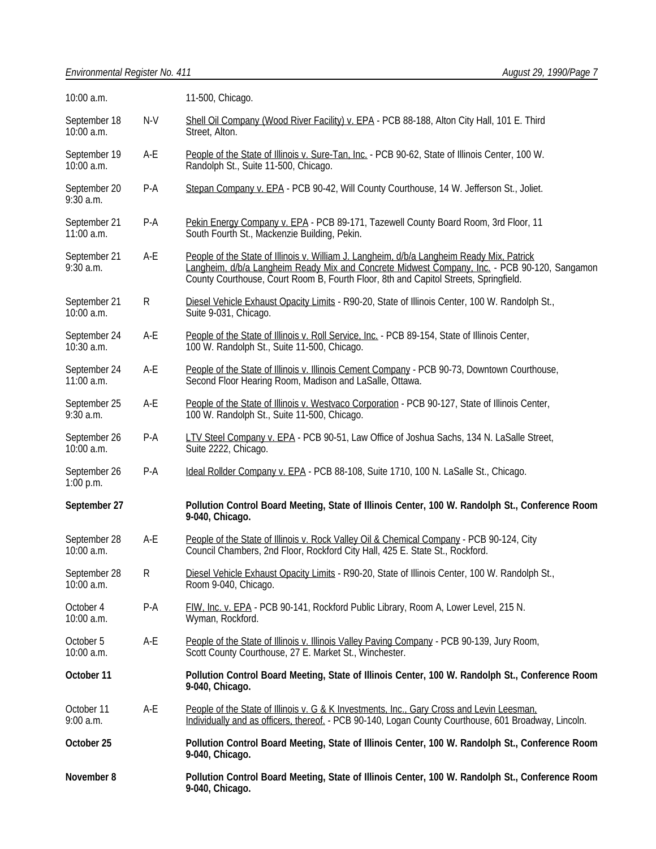| 10:00 a.m.                   |           | 11-500, Chicago.                                                                                                                                                                                                                                                                  |  |  |
|------------------------------|-----------|-----------------------------------------------------------------------------------------------------------------------------------------------------------------------------------------------------------------------------------------------------------------------------------|--|--|
| September 18<br>10:00 a.m.   | $N-V$     | Shell Oil Company (Wood River Facility) v. EPA - PCB 88-188, Alton City Hall, 101 E. Third<br>Street, Alton.                                                                                                                                                                      |  |  |
| September 19<br>10:00 a.m.   | A-E       | People of the State of Illinois v. Sure-Tan, Inc. - PCB 90-62, State of Illinois Center, 100 W.<br>Randolph St., Suite 11-500, Chicago.                                                                                                                                           |  |  |
| September 20<br>$9:30$ a.m.  | P-A       | Stepan Company v. EPA - PCB 90-42, Will County Courthouse, 14 W. Jefferson St., Joliet.                                                                                                                                                                                           |  |  |
| September 21<br>$11:00$ a.m. | $P-A$     | Pekin Energy Company v. EPA - PCB 89-171, Tazewell County Board Room, 3rd Floor, 11<br>South Fourth St., Mackenzie Building, Pekin.                                                                                                                                               |  |  |
| September 21<br>$9:30$ a.m.  | A-E       | People of the State of Illinois v. William J. Langheim, d/b/a Langheim Ready Mix, Patrick<br>Langheim, d/b/a Langheim Ready Mix and Concrete Midwest Company, Inc. - PCB 90-120, Sangamon<br>County Courthouse, Court Room B, Fourth Floor, 8th and Capitol Streets, Springfield. |  |  |
| September 21<br>10:00 a.m.   | ${\sf R}$ | Diesel Vehicle Exhaust Opacity Limits - R90-20, State of Illinois Center, 100 W. Randolph St.,<br>Suite 9-031, Chicago.                                                                                                                                                           |  |  |
| September 24<br>10:30 a.m.   | A-E       | People of the State of Illinois v. Roll Service, Inc. - PCB 89-154, State of Illinois Center,<br>100 W. Randolph St., Suite 11-500, Chicago.                                                                                                                                      |  |  |
| September 24<br>$11:00$ a.m. | A-E       | People of the State of Illinois v. Illinois Cement Company - PCB 90-73, Downtown Courthouse,<br>Second Floor Hearing Room, Madison and LaSalle, Ottawa.                                                                                                                           |  |  |
| September 25<br>$9:30$ a.m.  | A-E       | People of the State of Illinois v. Westvaco Corporation - PCB 90-127, State of Illinois Center,<br>100 W. Randolph St., Suite 11-500, Chicago.                                                                                                                                    |  |  |
| September 26<br>10:00 a.m.   | $P-A$     | LTV Steel Company v. EPA - PCB 90-51, Law Office of Joshua Sachs, 134 N. LaSalle Street,<br>Suite 2222, Chicago.                                                                                                                                                                  |  |  |
| September 26<br>$1:00$ p.m.  | $P-A$     | Ideal Rollder Company v. EPA - PCB 88-108, Suite 1710, 100 N. LaSalle St., Chicago.                                                                                                                                                                                               |  |  |
| September 27                 |           | Pollution Control Board Meeting, State of Illinois Center, 100 W. Randolph St., Conference Room<br>9-040, Chicago.                                                                                                                                                                |  |  |
| September 28<br>10:00 a.m.   | A-E       | People of the State of Illinois v. Rock Valley Oil & Chemical Company - PCB 90-124, City<br>Council Chambers, 2nd Floor, Rockford City Hall, 425 E. State St., Rockford.                                                                                                          |  |  |
| September 28<br>$10:00$ a.m. | R         | Diesel Vehicle Exhaust Opacity Limits - R90-20, State of Illinois Center, 100 W. Randolph St.,<br>Room 9-040, Chicago.                                                                                                                                                            |  |  |
| October 4<br>10:00 a.m.      | P-A       | FIW, Inc. v. EPA - PCB 90-141, Rockford Public Library, Room A, Lower Level, 215 N.<br>Wyman, Rockford.                                                                                                                                                                           |  |  |
| October 5<br>10:00 a.m.      | A-E       | People of the State of Illinois v. Illinois Valley Paving Company - PCB 90-139, Jury Room,<br>Scott County Courthouse, 27 E. Market St., Winchester.                                                                                                                              |  |  |
| October 11                   |           | Pollution Control Board Meeting, State of Illinois Center, 100 W. Randolph St., Conference Room<br>9-040, Chicago.                                                                                                                                                                |  |  |
| October 11<br>$9:00$ a.m.    | A-E       | People of the State of Illinois v. G & K Investments, Inc., Gary Cross and Levin Leesman,<br>Individually and as officers, thereof. - PCB 90-140, Logan County Courthouse, 601 Broadway, Lincoln.                                                                                 |  |  |
| October 25                   |           | Pollution Control Board Meeting, State of Illinois Center, 100 W. Randolph St., Conference Room<br>9-040, Chicago.                                                                                                                                                                |  |  |
| November 8                   |           | Pollution Control Board Meeting, State of Illinois Center, 100 W. Randolph St., Conference Room<br>9-040, Chicago.                                                                                                                                                                |  |  |